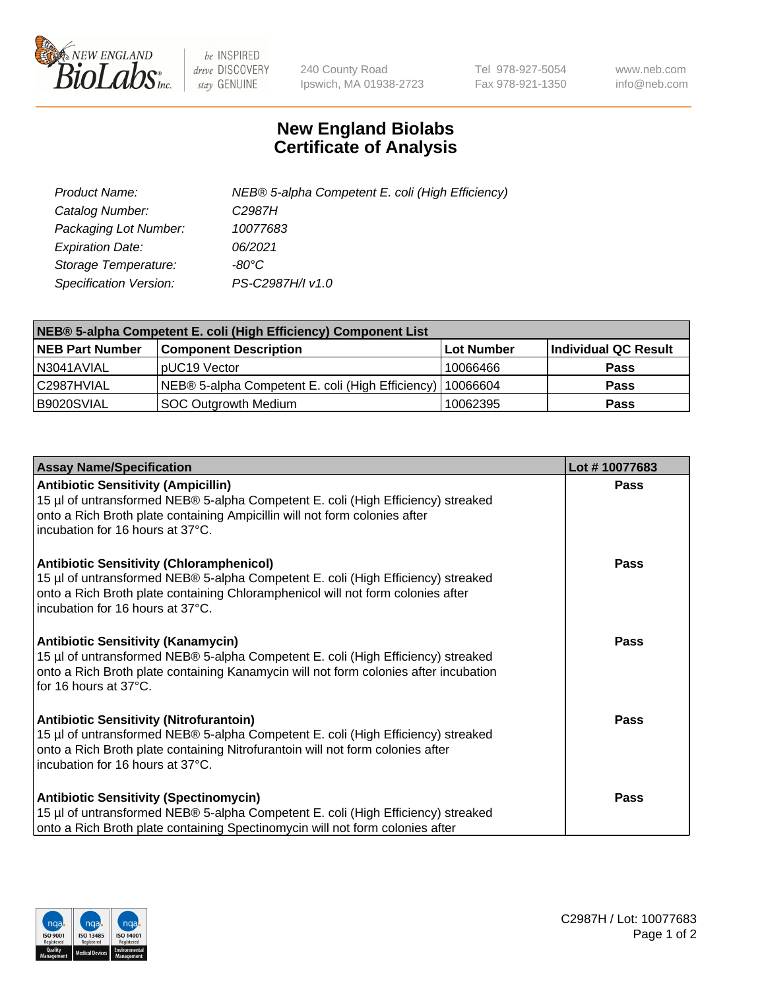

 $be$  INSPIRED drive DISCOVERY stay GENUINE

240 County Road Ipswich, MA 01938-2723 Tel 978-927-5054 Fax 978-921-1350 www.neb.com info@neb.com

## **New England Biolabs Certificate of Analysis**

| Product Name:                 | NEB® 5-alpha Competent E. coli (High Efficiency) |
|-------------------------------|--------------------------------------------------|
| Catalog Number:               | C <sub>2987</sub> H                              |
| Packaging Lot Number:         | 10077683                                         |
| <b>Expiration Date:</b>       | 06/2021                                          |
| Storage Temperature:          | -80°C                                            |
| <b>Specification Version:</b> | PS-C2987H/I v1.0                                 |

| NEB® 5-alpha Competent E. coli (High Efficiency) Component List |                                                  |                   |                      |  |
|-----------------------------------------------------------------|--------------------------------------------------|-------------------|----------------------|--|
| <b>NEB Part Number</b>                                          | <b>Component Description</b>                     | <b>Lot Number</b> | Individual QC Result |  |
| N3041AVIAL                                                      | pUC19 Vector                                     | 10066466          | <b>Pass</b>          |  |
| C2987HVIAL                                                      | NEB® 5-alpha Competent E. coli (High Efficiency) | 10066604          | <b>Pass</b>          |  |
| B9020SVIAL                                                      | <b>SOC Outgrowth Medium</b>                      | 10062395          | <b>Pass</b>          |  |

| <b>Assay Name/Specification</b>                                                                                                                                                                                                                            | Lot #10077683 |
|------------------------------------------------------------------------------------------------------------------------------------------------------------------------------------------------------------------------------------------------------------|---------------|
| <b>Antibiotic Sensitivity (Ampicillin)</b><br>15 µl of untransformed NEB® 5-alpha Competent E. coli (High Efficiency) streaked<br>onto a Rich Broth plate containing Ampicillin will not form colonies after<br>incubation for 16 hours at 37°C.           | Pass          |
| <b>Antibiotic Sensitivity (Chloramphenicol)</b><br>15 µl of untransformed NEB® 5-alpha Competent E. coli (High Efficiency) streaked<br>onto a Rich Broth plate containing Chloramphenicol will not form colonies after<br>incubation for 16 hours at 37°C. | Pass          |
| Antibiotic Sensitivity (Kanamycin)<br>15 µl of untransformed NEB® 5-alpha Competent E. coli (High Efficiency) streaked<br>onto a Rich Broth plate containing Kanamycin will not form colonies after incubation<br>for 16 hours at 37°C.                    | Pass          |
| <b>Antibiotic Sensitivity (Nitrofurantoin)</b><br>15 µl of untransformed NEB® 5-alpha Competent E. coli (High Efficiency) streaked<br>onto a Rich Broth plate containing Nitrofurantoin will not form colonies after<br>incubation for 16 hours at 37°C.   | <b>Pass</b>   |
| <b>Antibiotic Sensitivity (Spectinomycin)</b><br>15 µl of untransformed NEB® 5-alpha Competent E. coli (High Efficiency) streaked<br>onto a Rich Broth plate containing Spectinomycin will not form colonies after                                         | Pass          |